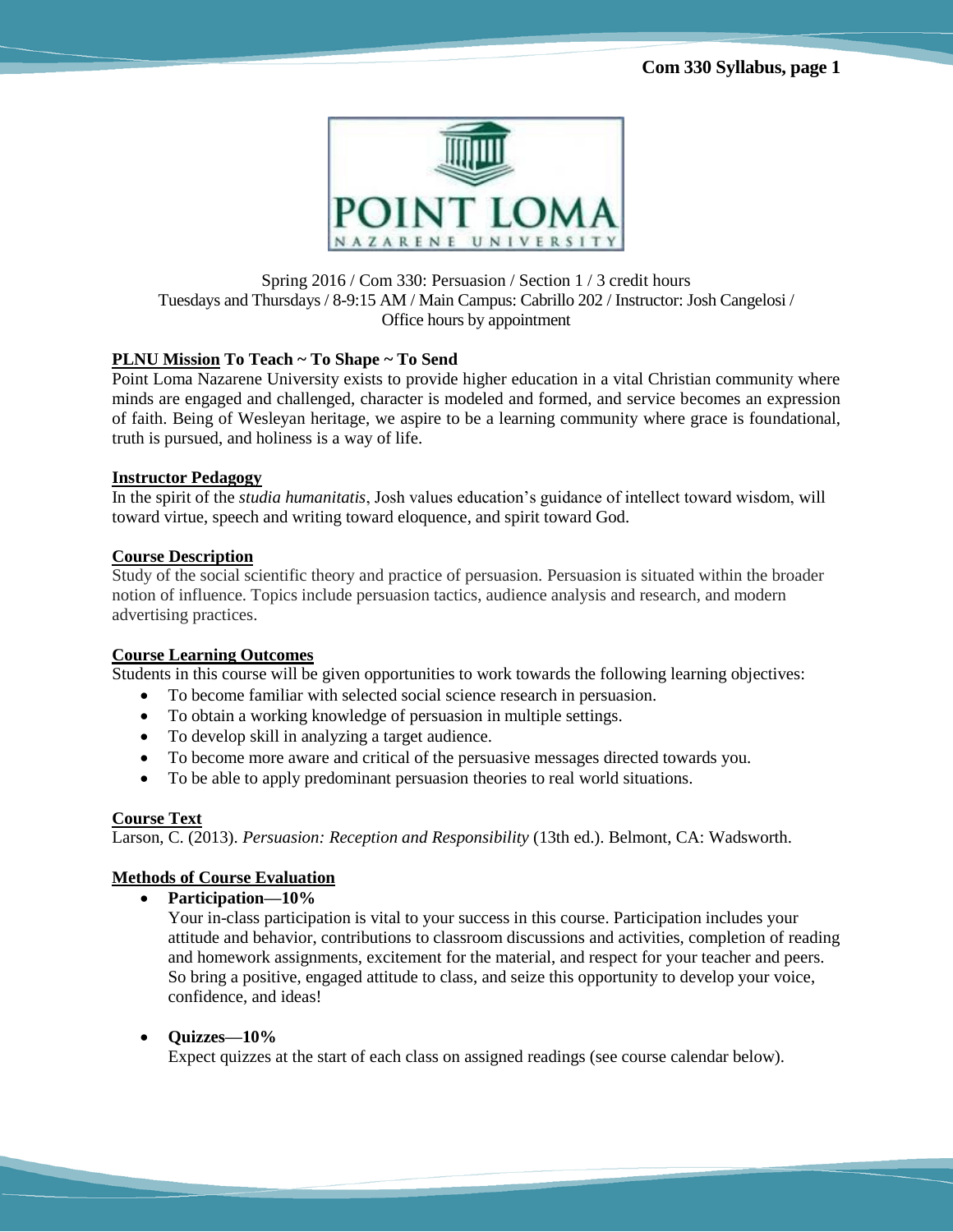

# Spring 2016 / Com 330: Persuasion / Section 1 / 3 credit hours Tuesdays and Thursdays / 8-9:15 AM / Main Campus: Cabrillo 202 / Instructor: Josh Cangelosi / Office hours by appointment

# **PLNU Mission To Teach ~ To Shape ~ To Send**

Point Loma Nazarene University exists to provide higher education in a vital Christian community where minds are engaged and challenged, character is modeled and formed, and service becomes an expression of faith. Being of Wesleyan heritage, we aspire to be a learning community where grace is foundational, truth is pursued, and holiness is a way of life.

### **Instructor Pedagogy**

In the spirit of the *studia humanitatis*, Josh values education's guidance of intellect toward wisdom, will toward virtue, speech and writing toward eloquence, and spirit toward God.

# **Course Description**

Study of the social scientific theory and practice of persuasion. Persuasion is situated within the broader notion of influence. Topics include persuasion tactics, audience analysis and research, and modern advertising practices.

# **Course Learning Outcomes**

Students in this course will be given opportunities to work towards the following learning objectives:

- To become familiar with selected social science research in persuasion.
- To obtain a working knowledge of persuasion in multiple settings.
- To develop skill in analyzing a target audience.
- To become more aware and critical of the persuasive messages directed towards you.
- To be able to apply predominant persuasion theories to real world situations.

# **Course Text**

Larson, C. (2013). *Persuasion: Reception and Responsibility* (13th ed.). Belmont, CA: Wadsworth.

# **Methods of Course Evaluation**

**Participation—10%** 

Your in-class participation is vital to your success in this course. Participation includes your attitude and behavior, contributions to classroom discussions and activities, completion of reading and homework assignments, excitement for the material, and respect for your teacher and peers. So bring a positive, engaged attitude to class, and seize this opportunity to develop your voice, confidence, and ideas!

# • Ouizzes—10%

Expect quizzes at the start of each class on assigned readings (see course calendar below).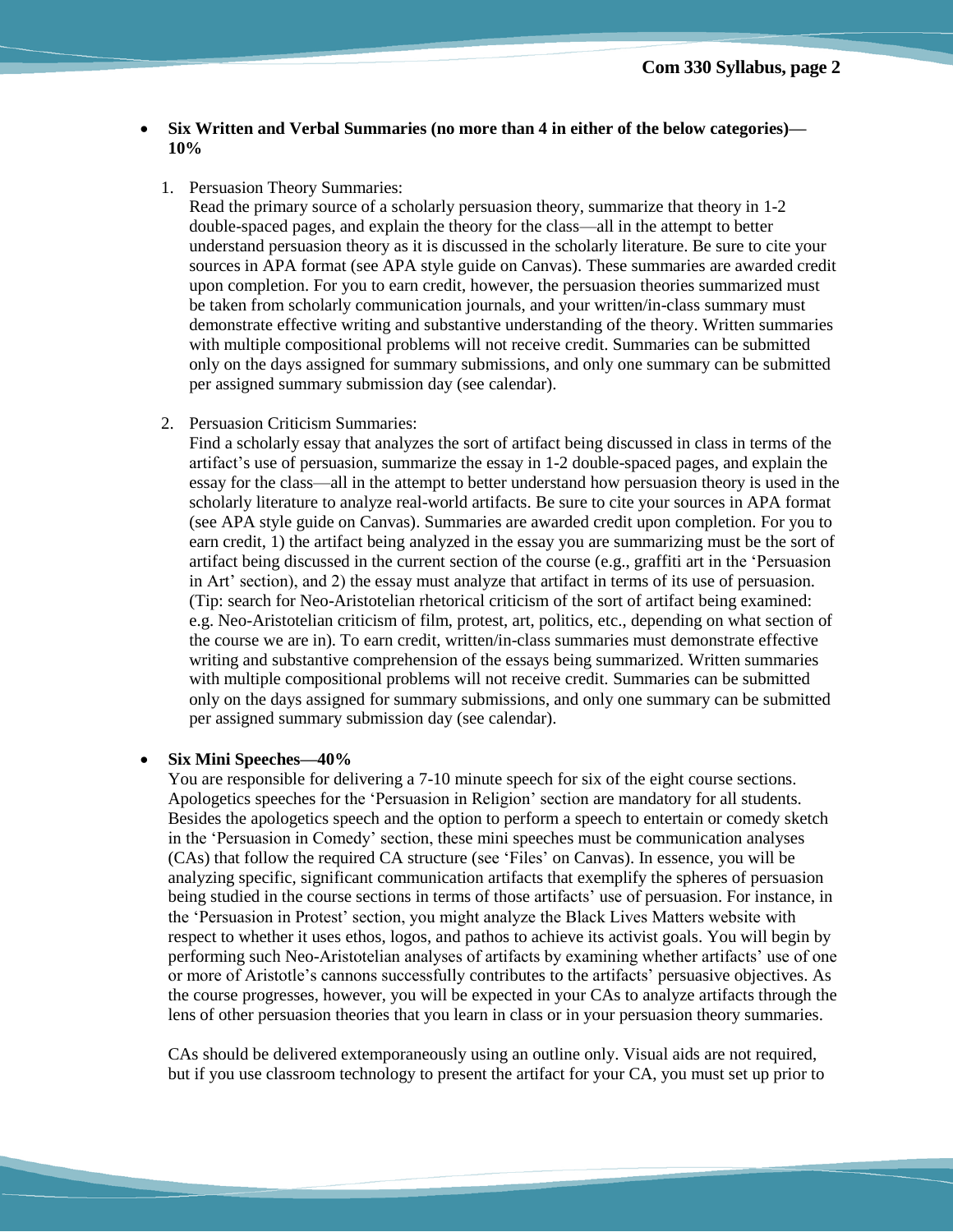- **Six Written and Verbal Summaries (no more than 4 in either of the below categories)— 10%** 
	- 1. Persuasion Theory Summaries:

Read the primary source of a scholarly persuasion theory, summarize that theory in 1-2 double-spaced pages, and explain the theory for the class—all in the attempt to better understand persuasion theory as it is discussed in the scholarly literature. Be sure to cite your sources in APA format (see APA style guide on Canvas). These summaries are awarded credit upon completion. For you to earn credit, however, the persuasion theories summarized must be taken from scholarly communication journals, and your written/in-class summary must demonstrate effective writing and substantive understanding of the theory. Written summaries with multiple compositional problems will not receive credit. Summaries can be submitted only on the days assigned for summary submissions, and only one summary can be submitted per assigned summary submission day (see calendar).

2. Persuasion Criticism Summaries:

Find a scholarly essay that analyzes the sort of artifact being discussed in class in terms of the artifact's use of persuasion, summarize the essay in 1-2 double-spaced pages, and explain the essay for the class—all in the attempt to better understand how persuasion theory is used in the scholarly literature to analyze real-world artifacts. Be sure to cite your sources in APA format (see APA style guide on Canvas). Summaries are awarded credit upon completion. For you to earn credit, 1) the artifact being analyzed in the essay you are summarizing must be the sort of artifact being discussed in the current section of the course (e.g., graffiti art in the 'Persuasion in Art' section), and 2) the essay must analyze that artifact in terms of its use of persuasion. (Tip: search for Neo-Aristotelian rhetorical criticism of the sort of artifact being examined: e.g. Neo-Aristotelian criticism of film, protest, art, politics, etc., depending on what section of the course we are in). To earn credit, written/in-class summaries must demonstrate effective writing and substantive comprehension of the essays being summarized. Written summaries with multiple compositional problems will not receive credit. Summaries can be submitted only on the days assigned for summary submissions, and only one summary can be submitted per assigned summary submission day (see calendar).

#### **Six Mini Speeches—40%**

You are responsible for delivering a 7-10 minute speech for six of the eight course sections. Apologetics speeches for the 'Persuasion in Religion' section are mandatory for all students. Besides the apologetics speech and the option to perform a speech to entertain or comedy sketch in the 'Persuasion in Comedy' section, these mini speeches must be communication analyses (CAs) that follow the required CA structure (see 'Files' on Canvas). In essence, you will be analyzing specific, significant communication artifacts that exemplify the spheres of persuasion being studied in the course sections in terms of those artifacts' use of persuasion. For instance, in the 'Persuasion in Protest' section, you might analyze the Black Lives Matters website with respect to whether it uses ethos, logos, and pathos to achieve its activist goals. You will begin by performing such Neo-Aristotelian analyses of artifacts by examining whether artifacts' use of one or more of Aristotle's cannons successfully contributes to the artifacts' persuasive objectives. As the course progresses, however, you will be expected in your CAs to analyze artifacts through the lens of other persuasion theories that you learn in class or in your persuasion theory summaries.

CAs should be delivered extemporaneously using an outline only. Visual aids are not required, but if you use classroom technology to present the artifact for your CA, you must set up prior to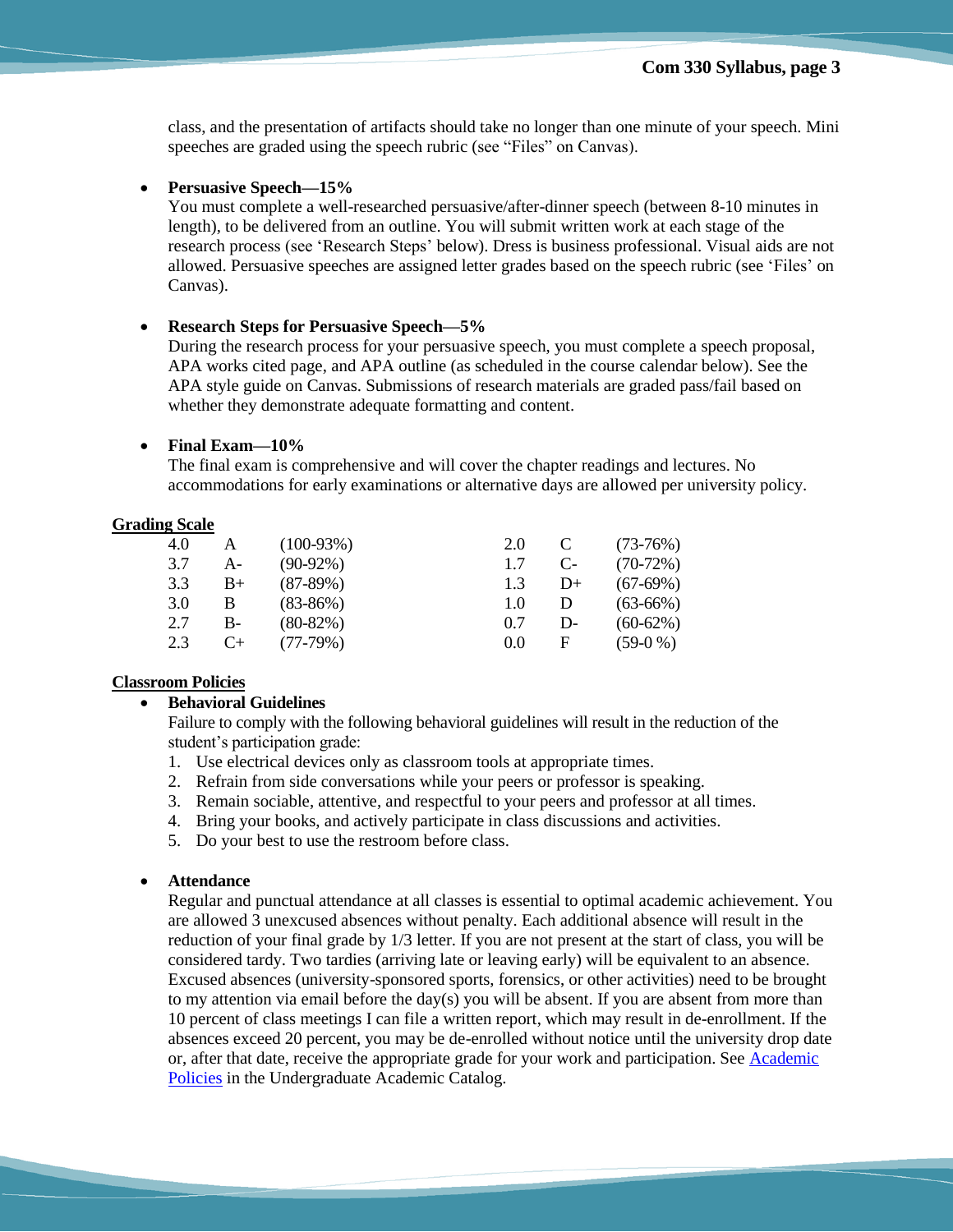class, and the presentation of artifacts should take no longer than one minute of your speech. Mini speeches are graded using the speech rubric (see "Files" on Canvas).

## **Persuasive Speech—15%**

You must complete a well-researched persuasive/after-dinner speech (between 8-10 minutes in length), to be delivered from an outline. You will submit written work at each stage of the research process (see 'Research Steps' below). Dress is business professional. Visual aids are not allowed. Persuasive speeches are assigned letter grades based on the speech rubric (see 'Files' on Canvas).

### **Research Steps for Persuasive Speech—5%**

During the research process for your persuasive speech, you must complete a speech proposal, APA works cited page, and APA outline (as scheduled in the course calendar below). See the APA style guide on Canvas. Submissions of research materials are graded pass/fail based on whether they demonstrate adequate formatting and content.

### **Final Exam—10%**

The final exam is comprehensive and will cover the chapter readings and lectures. No accommodations for early examinations or alternative days are allowed per university policy.

### **Grading Scale**

| 4.0 | А    | $(100-93%)$ | 2.0 |      | $(73-76%)$ |
|-----|------|-------------|-----|------|------------|
| 3.7 | А-   | $(90-92\%)$ | 1.7 | $C-$ | $(70-72%)$ |
| 3.3 | $B+$ | $(87-89%)$  | 1.3 | $D+$ | $(67-69%)$ |
| 3.0 | B    | $(83-86%)$  | 1.0 | Ð    | $(63-66%)$ |
| 2.7 | $B-$ | $(80-82%)$  | 0.7 | D-   | $(60-62%)$ |
| 2.3 | C+   | $(77-79%)$  | 0.0 | F    | $(59-0\%)$ |

#### **Classroom Policies**

### **Behavioral Guidelines**

Failure to comply with the following behavioral guidelines will result in the reduction of the student's participation grade:

- 1. Use electrical devices only as classroom tools at appropriate times.
- 2. Refrain from side conversations while your peers or professor is speaking.
- 3. Remain sociable, attentive, and respectful to your peers and professor at all times.
- 4. Bring your books, and actively participate in class discussions and activities.
- 5. Do your best to use the restroom before class.

#### **Attendance**

Regular and punctual attendance at all classes is essential to optimal academic achievement. You are allowed 3 unexcused absences without penalty. Each additional absence will result in the reduction of your final grade by 1/3 letter. If you are not present at the start of class, you will be considered tardy. Two tardies (arriving late or leaving early) will be equivalent to an absence. Excused absences (university-sponsored sports, forensics, or other activities) need to be brought to my attention via email before the day(s) you will be absent. If you are absent from more than 10 percent of class meetings I can file a written report, which may result in de-enrollment. If the absences exceed 20 percent, you may be de-enrolled without notice until the university drop date or, after that date, receive the appropriate grade for your work and participation. See [Academic](http://catalog.pointloma.edu/content.php?catoid=18&navoid=1278)  [Policies](http://catalog.pointloma.edu/content.php?catoid=18&navoid=1278) in the Undergraduate Academic Catalog.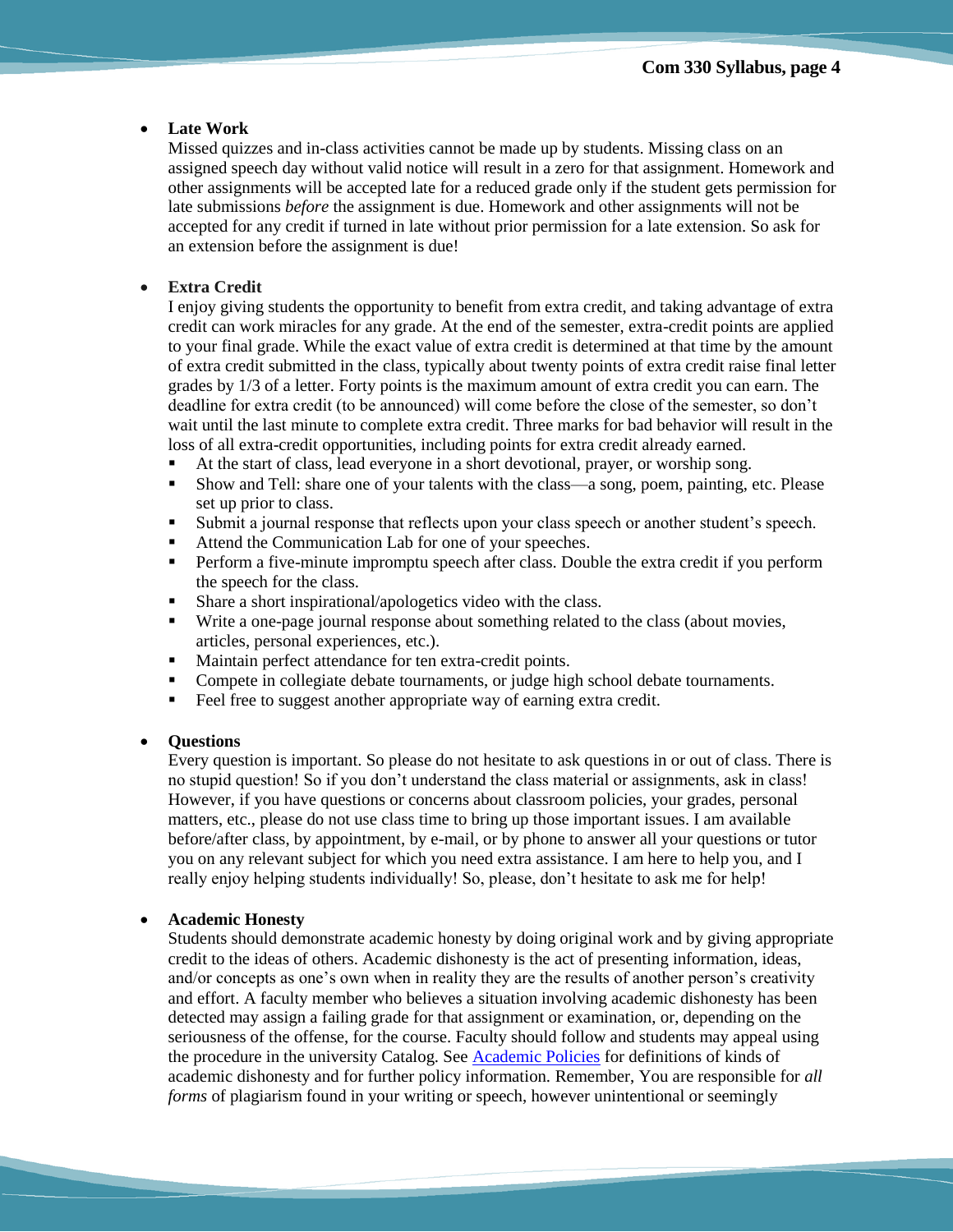# **Late Work**

Missed quizzes and in-class activities cannot be made up by students. Missing class on an assigned speech day without valid notice will result in a zero for that assignment. Homework and other assignments will be accepted late for a reduced grade only if the student gets permission for late submissions *before* the assignment is due. Homework and other assignments will not be accepted for any credit if turned in late without prior permission for a late extension. So ask for an extension before the assignment is due!

### **Extra Credit**

I enjoy giving students the opportunity to benefit from extra credit, and taking advantage of extra credit can work miracles for any grade. At the end of the semester, extra-credit points are applied to your final grade. While the exact value of extra credit is determined at that time by the amount of extra credit submitted in the class, typically about twenty points of extra credit raise final letter grades by 1/3 of a letter. Forty points is the maximum amount of extra credit you can earn. The deadline for extra credit (to be announced) will come before the close of the semester, so don't wait until the last minute to complete extra credit. Three marks for bad behavior will result in the loss of all extra-credit opportunities, including points for extra credit already earned.

- At the start of class, lead everyone in a short devotional, prayer, or worship song.
- Show and Tell: share one of your talents with the class—a song, poem, painting, etc. Please set up prior to class.
- Submit a journal response that reflects upon your class speech or another student's speech.
- Attend the Communication Lab for one of your speeches.
- Perform a five-minute impromptu speech after class. Double the extra credit if you perform the speech for the class.
- Share a short inspirational/apologetics video with the class.
- Write a one-page journal response about something related to the class (about movies, articles, personal experiences, etc.).
- Maintain perfect attendance for ten extra-credit points.
- Compete in collegiate debate tournaments, or judge high school debate tournaments.
- Feel free to suggest another appropriate way of earning extra credit.

# **Questions**

Every question is important. So please do not hesitate to ask questions in or out of class. There is no stupid question! So if you don't understand the class material or assignments, ask in class! However, if you have questions or concerns about classroom policies, your grades, personal matters, etc., please do not use class time to bring up those important issues. I am available before/after class, by appointment, by e-mail, or by phone to answer all your questions or tutor you on any relevant subject for which you need extra assistance. I am here to help you, and I really enjoy helping students individually! So, please, don't hesitate to ask me for help!

# **Academic Honesty**

Students should demonstrate academic honesty by doing original work and by giving appropriate credit to the ideas of others. Academic dishonesty is the act of presenting information, ideas, and/or concepts as one's own when in reality they are the results of another person's creativity and effort. A faculty member who believes a situation involving academic dishonesty has been detected may assign a failing grade for that assignment or examination, or, depending on the seriousness of the offense, for the course. Faculty should follow and students may appeal using the procedure in the university Catalog. See [Academic Policies](http://catalog.pointloma.edu/content.php?catoid=18&navoid=1278) for definitions of kinds of academic dishonesty and for further policy information. Remember, You are responsible for *all forms* of plagiarism found in your writing or speech, however unintentional or seemingly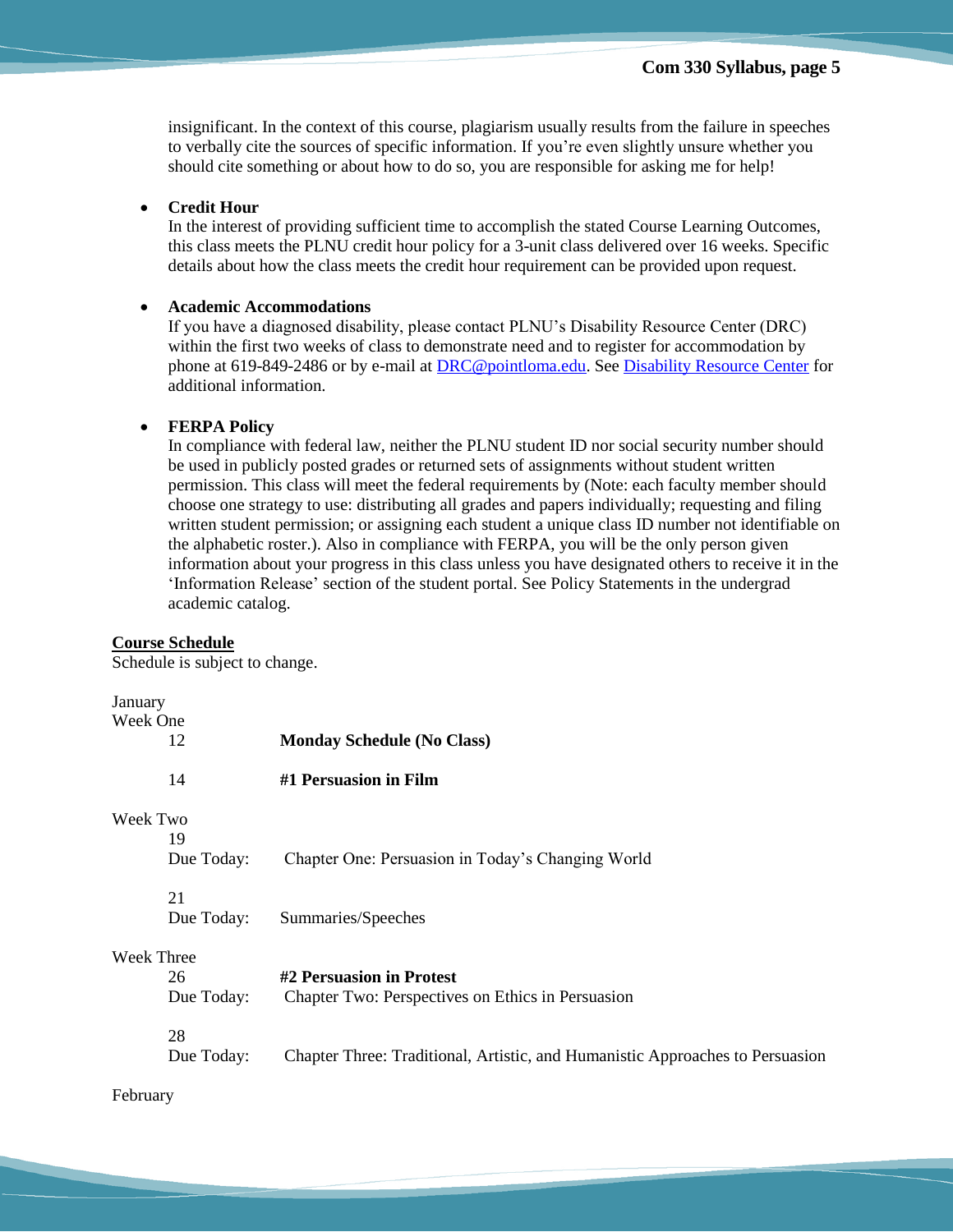insignificant. In the context of this course, plagiarism usually results from the failure in speeches to verbally cite the sources of specific information. If you're even slightly unsure whether you should cite something or about how to do so, you are responsible for asking me for help!

### **Credit Hour**

In the interest of providing sufficient time to accomplish the stated Course Learning Outcomes, this class meets the PLNU credit hour policy for a 3-unit class delivered over 16 weeks. Specific details about how the class meets the credit hour requirement can be provided upon request.

### **Academic Accommodations**

If you have a diagnosed disability, please contact PLNU's Disability Resource Center (DRC) within the first two weeks of class to demonstrate need and to register for accommodation by phone at 619-849-2486 or by e-mail at [DRC@pointloma.edu.](mailto:DRC@pointloma.edu) Se[e Disability Resource Center](http://www.pointloma.edu/experience/offices/administrative-offices/academic-advising-office/disability-resource-center) for additional information.

### **FERPA Policy**

In compliance with federal law, neither the PLNU student ID nor social security number should be used in publicly posted grades or returned sets of assignments without student written permission. This class will meet the federal requirements by (Note: each faculty member should choose one strategy to use: distributing all grades and papers individually; requesting and filing written student permission; or assigning each student a unique class ID number not identifiable on the alphabetic roster.). Also in compliance with FERPA, you will be the only person given information about your progress in this class unless you have designated others to receive it in the 'Information Release' section of the student portal. See Policy Statements in the undergrad academic catalog.

### **Course Schedule**

Schedule is subject to change.

# January

| January    |            |                                                                               |
|------------|------------|-------------------------------------------------------------------------------|
| Week One   |            |                                                                               |
|            | 12         | <b>Monday Schedule (No Class)</b>                                             |
|            | 14         | #1 Persuasion in Film                                                         |
| Week Two   |            |                                                                               |
|            | 19         |                                                                               |
|            | Due Today: | Chapter One: Persuasion in Today's Changing World                             |
|            | 21         |                                                                               |
|            | Due Today: | Summaries/Speeches                                                            |
| Week Three |            |                                                                               |
|            | 26         | #2 Persuasion in Protest                                                      |
|            | Due Today: | Chapter Two: Perspectives on Ethics in Persuasion                             |
|            | 28         |                                                                               |
|            | Due Today: | Chapter Three: Traditional, Artistic, and Humanistic Approaches to Persuasion |

February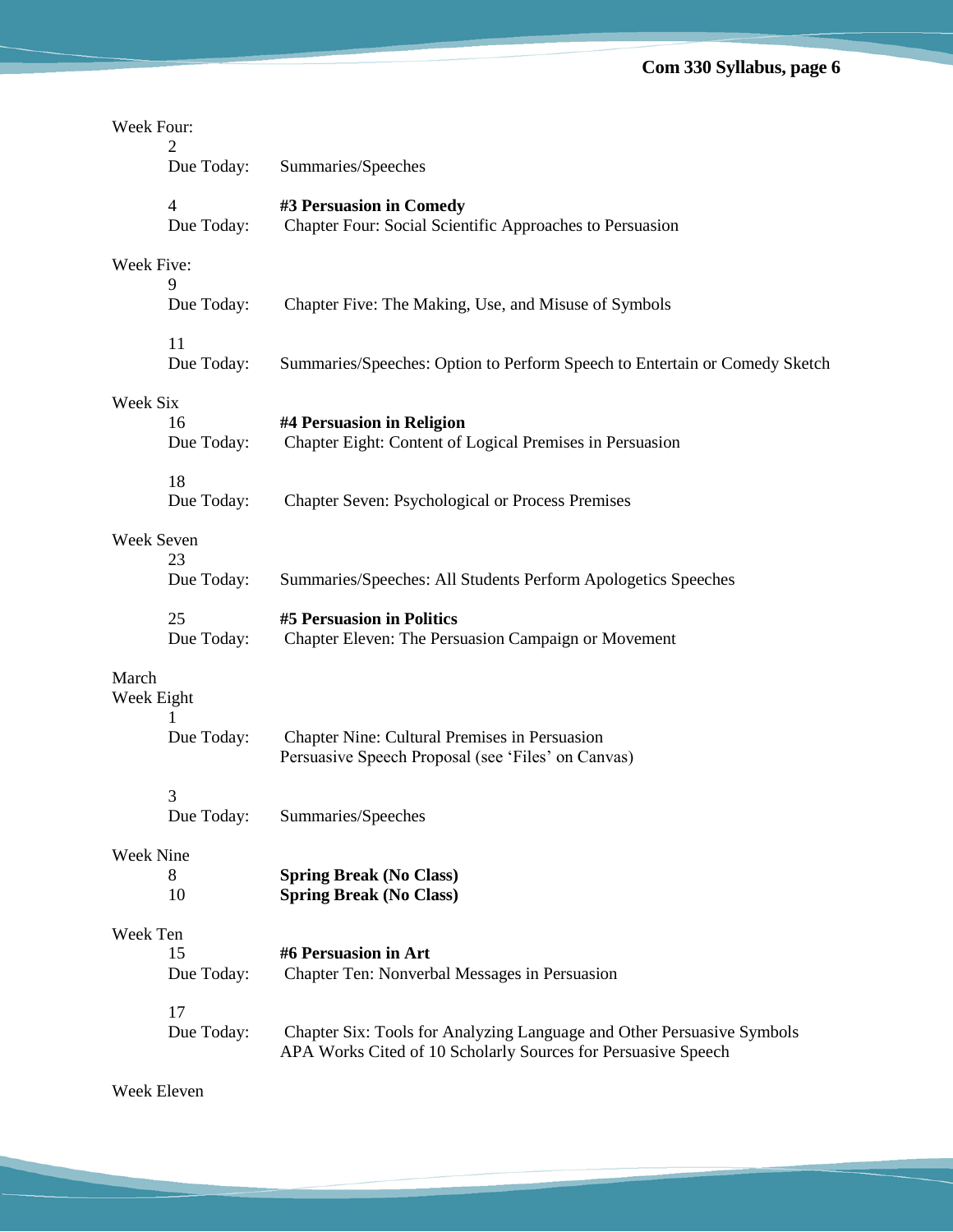| Week Four:          |                  |                                                                                                                                         |  |  |
|---------------------|------------------|-----------------------------------------------------------------------------------------------------------------------------------------|--|--|
|                     | Due Today:       | Summaries/Speeches                                                                                                                      |  |  |
|                     | 4<br>Due Today:  | #3 Persuasion in Comedy<br>Chapter Four: Social Scientific Approaches to Persuasion                                                     |  |  |
| Week Five:<br>9     |                  |                                                                                                                                         |  |  |
|                     | Due Today:       | Chapter Five: The Making, Use, and Misuse of Symbols                                                                                    |  |  |
|                     | 11<br>Due Today: | Summaries/Speeches: Option to Perform Speech to Entertain or Comedy Sketch                                                              |  |  |
| Week Six            |                  |                                                                                                                                         |  |  |
|                     | 16<br>Due Today: | #4 Persuasion in Religion<br>Chapter Eight: Content of Logical Premises in Persuasion                                                   |  |  |
|                     | 18<br>Due Today: | <b>Chapter Seven: Psychological or Process Premises</b>                                                                                 |  |  |
| Week Seven          |                  |                                                                                                                                         |  |  |
|                     | 23<br>Due Today: | Summaries/Speeches: All Students Perform Apologetics Speeches                                                                           |  |  |
|                     | 25<br>Due Today: | #5 Persuasion in Politics<br>Chapter Eleven: The Persuasion Campaign or Movement                                                        |  |  |
| March<br>Week Eight |                  |                                                                                                                                         |  |  |
|                     | Due Today:       | Chapter Nine: Cultural Premises in Persuasion<br>Persuasive Speech Proposal (see 'Files' on Canvas)                                     |  |  |
|                     | 3                |                                                                                                                                         |  |  |
|                     | Due Today:       | Summaries/Speeches                                                                                                                      |  |  |
| Week Nine           |                  |                                                                                                                                         |  |  |
|                     | 8<br>10          | <b>Spring Break (No Class)</b><br><b>Spring Break (No Class)</b>                                                                        |  |  |
| Week Ten            |                  |                                                                                                                                         |  |  |
|                     | 15<br>Due Today: | #6 Persuasion in Art<br>Chapter Ten: Nonverbal Messages in Persuasion                                                                   |  |  |
|                     | 17               |                                                                                                                                         |  |  |
|                     | Due Today:       | Chapter Six: Tools for Analyzing Language and Other Persuasive Symbols<br>APA Works Cited of 10 Scholarly Sources for Persuasive Speech |  |  |
|                     |                  |                                                                                                                                         |  |  |

Week Eleven